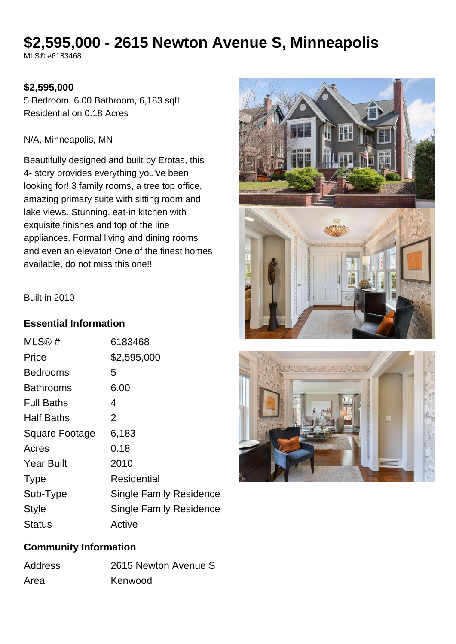# **\$2,595,000 - 2615 Newton Avenue S, Minneapolis**

MLS® #6183468

#### **\$2,595,000**

5 Bedroom, 6.00 Bathroom, 6,183 sqft Residential on 0.18 Acres

#### N/A, Minneapolis, MN

Beautifully designed and built by Erotas, this 4- story provides everything you've been looking for! 3 family rooms, a tree top office, amazing primary suite with sitting room and lake views. Stunning, eat-in kitchen with exquisite finishes and top of the line appliances. Formal living and dining rooms and even an elevator! One of the finest homes available, do not miss this one!!





#### Built in 2010

#### **Essential Information**

| MLS@#                 | 6183468                        |
|-----------------------|--------------------------------|
| Price                 | \$2,595,000                    |
| <b>Bedrooms</b>       | 5                              |
| <b>Bathrooms</b>      | 6.00                           |
| <b>Full Baths</b>     | 4                              |
| <b>Half Baths</b>     | 2                              |
| <b>Square Footage</b> | 6,183                          |
| Acres                 | 0.18                           |
| <b>Year Built</b>     | 2010                           |
| <b>Type</b>           | <b>Residential</b>             |
| Sub-Type              | Single Family Residence        |
| Style                 | <b>Single Family Residence</b> |
| Status                | Active                         |

## **Community Information**

| <b>Address</b> | 2615 Newton Avenue S |
|----------------|----------------------|
| Area           | Kenwood              |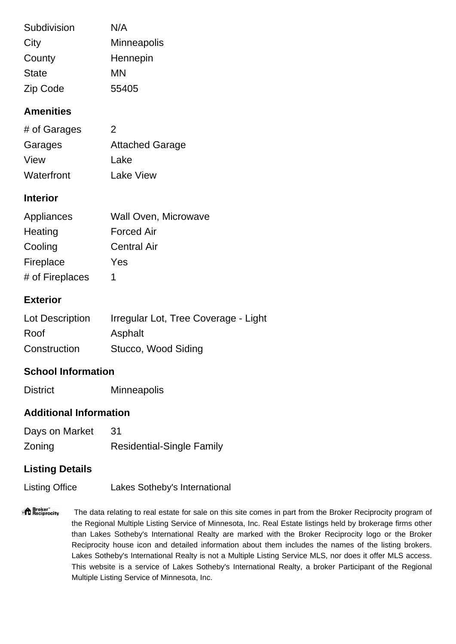| Subdivision  | N/A                |
|--------------|--------------------|
| City         | <b>Minneapolis</b> |
| County       | Hennepin           |
| <b>State</b> | ΜN                 |
| Zip Code     | 55405              |

# **Amenities**

| # of Garages | 2                      |
|--------------|------------------------|
| Garages      | <b>Attached Garage</b> |
| View         | Lake                   |
| Waterfront   | <b>Lake View</b>       |

### **Interior**

| Appliances      | Wall Oven, Microwave |
|-----------------|----------------------|
| Heating         | <b>Forced Air</b>    |
| Cooling         | <b>Central Air</b>   |
| Fireplace       | Yes                  |
| # of Fireplaces |                      |

# **Exterior**

| Lot Description | Irregular Lot, Tree Coverage - Light |
|-----------------|--------------------------------------|
| Roof            | Asphalt                              |
| Construction    | Stucco, Wood Siding                  |

# **School Information**

District Minneapolis

#### **Additional Information**

| Days on Market | -31                              |
|----------------|----------------------------------|
| Zoning         | <b>Residential-Single Family</b> |

# **Listing Details**

Listing Office Lakes Sotheby's International

"<sup>A</sup> Broker"<br>"I Reciprocity The data relating to real estate for sale on this site comes in part from the Broker Reciprocity program of the Regional Multiple Listing Service of Minnesota, Inc. Real Estate listings held by brokerage firms other than Lakes Sotheby's International Realty are marked with the Broker Reciprocity logo or the Broker Reciprocity house icon and detailed information about them includes the names of the listing brokers. Lakes Sotheby's International Realty is not a Multiple Listing Service MLS, nor does it offer MLS access. This website is a service of Lakes Sotheby's International Realty, a broker Participant of the Regional Multiple Listing Service of Minnesota, Inc.